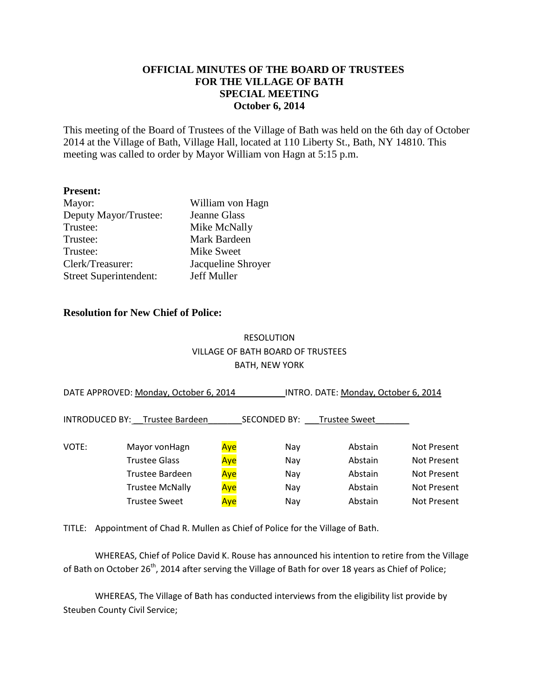### **OFFICIAL MINUTES OF THE BOARD OF TRUSTEES FOR THE VILLAGE OF BATH SPECIAL MEETING October 6, 2014**

This meeting of the Board of Trustees of the Village of Bath was held on the 6th day of October 2014 at the Village of Bath, Village Hall, located at 110 Liberty St., Bath, NY 14810. This meeting was called to order by Mayor William von Hagn at 5:15 p.m.

#### **Present:**

| Mayor:                        | William von Hagn   |
|-------------------------------|--------------------|
| Deputy Mayor/Trustee:         | Jeanne Glass       |
| Trustee:                      | Mike McNally       |
| Trustee:                      | Mark Bardeen       |
| Trustee:                      | Mike Sweet         |
| Clerk/Treasurer:              | Jacqueline Shroyer |
| <b>Street Superintendent:</b> | Jeff Muller        |

#### **Resolution for New Chief of Police:**

## RESOLUTION VILLAGE OF BATH BOARD OF TRUSTEES BATH, NEW YORK

| DATE APPROVED: Monday, October 6, 2014 |                                |     | INTRO. DATE: Monday, October 6, 2014 |                      |                    |  |
|----------------------------------------|--------------------------------|-----|--------------------------------------|----------------------|--------------------|--|
|                                        | INTRODUCED BY: Trustee Bardeen |     | <b>SECONDED BY:</b>                  | <b>Trustee Sweet</b> |                    |  |
| VOTE:                                  | Mayor vonHagn                  | Aye | Nay                                  | Abstain              | <b>Not Present</b> |  |
|                                        | <b>Trustee Glass</b>           | Aye | Nay                                  | Abstain              | <b>Not Present</b> |  |
|                                        | Trustee Bardeen                | Aye | Nay                                  | Abstain              | <b>Not Present</b> |  |
|                                        | <b>Trustee McNally</b>         | Aye | Nay                                  | Abstain              | Not Present        |  |
|                                        | <b>Trustee Sweet</b>           | Aye | Nay                                  | Abstain              | <b>Not Present</b> |  |
|                                        |                                |     |                                      |                      |                    |  |

TITLE: Appointment of Chad R. Mullen as Chief of Police for the Village of Bath.

WHEREAS, Chief of Police David K. Rouse has announced his intention to retire from the Village of Bath on October 26<sup>th</sup>, 2014 after serving the Village of Bath for over 18 years as Chief of Police;

WHEREAS, The Village of Bath has conducted interviews from the eligibility list provide by Steuben County Civil Service;